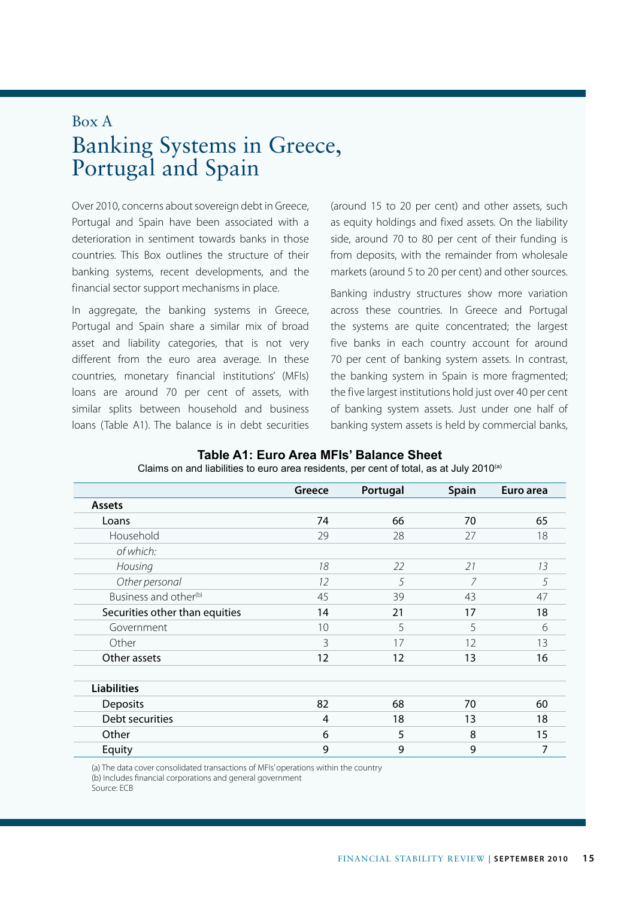## Box A Banking Systems in Greece, Portugal and Spain

Over 2010, concerns about sovereign debt in Greece, Portugal and Spain have been associated with a deterioration in sentiment towards banks in those countries. This Box outlines the structure of their banking systems, recent developments, and the financial sector support mechanisms in place.

In aggregate, the banking systems in Greece, Portugal and Spain share a similar mix of broad asset and liability categories, that is not very different from the euro area average. In these countries, monetary financial institutions' (MFIs) loans are around 70 per cent of assets, with similar splits between household and business loans (Table A1). The balance is in debt securities

(around 15 to 20 per cent) and other assets, such as equity holdings and fixed assets. On the liability side, around 70 to 80 per cent of their funding is from deposits, with the remainder from wholesale markets (around 5 to 20 per cent) and other sources.

Banking industry structures show more variation across these countries. In Greece and Portugal the systems are quite concentrated; the largest five banks in each country account for around 70 per cent of banking system assets. In contrast, the banking system in Spain is more fragmented; the five largest institutions hold just over 40 per cent of banking system assets. Just under one half of banking system assets is held by commercial banks,

|                                   | Greece | Portugal | <b>Spain</b> | Euro area |
|-----------------------------------|--------|----------|--------------|-----------|
| <b>Assets</b>                     |        |          |              |           |
| Loans                             | 74     | 66       | 70           | 65        |
| Household                         | 29     | 28       | 27           | 18        |
| of which:                         |        |          |              |           |
| Housing                           | 18     | 22       | 21           | 13        |
| Other personal                    | 12     | 5        | 7            | 5         |
| Business and other <sup>(b)</sup> | 45     | 39       | 43           | 47        |
| Securities other than equities    | 14     | 21       | 17           | 18        |
| Government                        | 10     | 5        | 5            | 6         |
| Other                             | 3      | 17       | 12           | 13        |
| Other assets                      | 12     | 12       | 13           | 16        |
| <b>Liabilities</b>                |        |          |              |           |
| <b>Deposits</b>                   | 82     | 68       | 70           | 60        |
| Debt securities                   | 4      | 18       | 13           | 18        |
| Other                             | 6      | 5        | 8            | 15        |
| Equity                            | 9      | 9        | 9            | 7         |

**Table A1: Euro Area MFIs' Balance Sheet**  Claims on and liabilities to euro area residents, per cent of total, as at July 2010<sup>(a)</sup>

(a) The data cover consolidated transactions of MFIs' operations within the country

(b) Includes financial corporations and general government

Source: ECB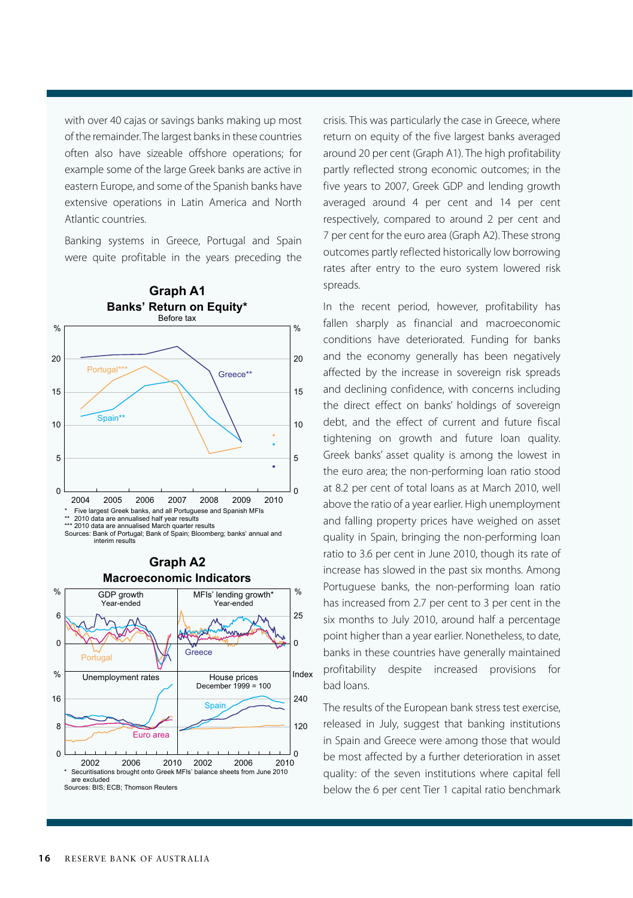with over 40 cajas or savings banks making up most of the remainder. The largest banks in these countries often also have sizeable offshore operations; for example some of the large Greek banks are active in eastern Europe, and some of the Spanish banks have extensive operations in Latin America and North Atlantic countries.

Banking systems in Greece, Portugal and Spain were quite profitable in the years preceding the





crisis. This was particularly the case in Greece, where return on equity of the five largest banks averaged around 20 per cent (Graph A1). The high profitability partly reflected strong economic outcomes; in the five years to 2007, Greek GDP and lending growth averaged around 4 per cent and 14 per cent respectively, compared to around 2 per cent and 7 per cent for the euro area (Graph A2). These strong outcomes partly reflected historically low borrowing rates after entry to the euro system lowered risk spreads.

In the recent period, however, profitability has fallen sharply as financial and macroeconomic conditions have deteriorated. Funding for banks and the economy generally has been negatively affected by the increase in sovereign risk spreads and declining confidence, with concerns including the direct effect on banks' holdings of sovereign debt, and the effect of current and future fiscal tightening on growth and future loan quality. Greek banks' asset quality is among the lowest in the euro area; the non-performing loan ratio stood at 8.2 per cent of total loans as at March 2010, well above the ratio of a year earlier. High unemployment and falling property prices have weighed on asset quality in Spain, bringing the non-performing loan ratio to 3.6 per cent in June 2010, though its rate of increase has slowed in the past six months. Among Portuguese banks, the non-performing loan ratio has increased from 2.7 per cent to 3 per cent in the six months to July 2010, around half a percentage point higher than a year earlier. Nonetheless, to date, banks in these countries have generally maintained profitability despite increased provisions for bad loans.

The results of the European bank stress test exercise, released in July, suggest that banking institutions in Spain and Greece were among those that would be most affected by a further deterioration in asset quality: of the seven institutions where capital fell below the 6 per cent Tier 1 capital ratio benchmark